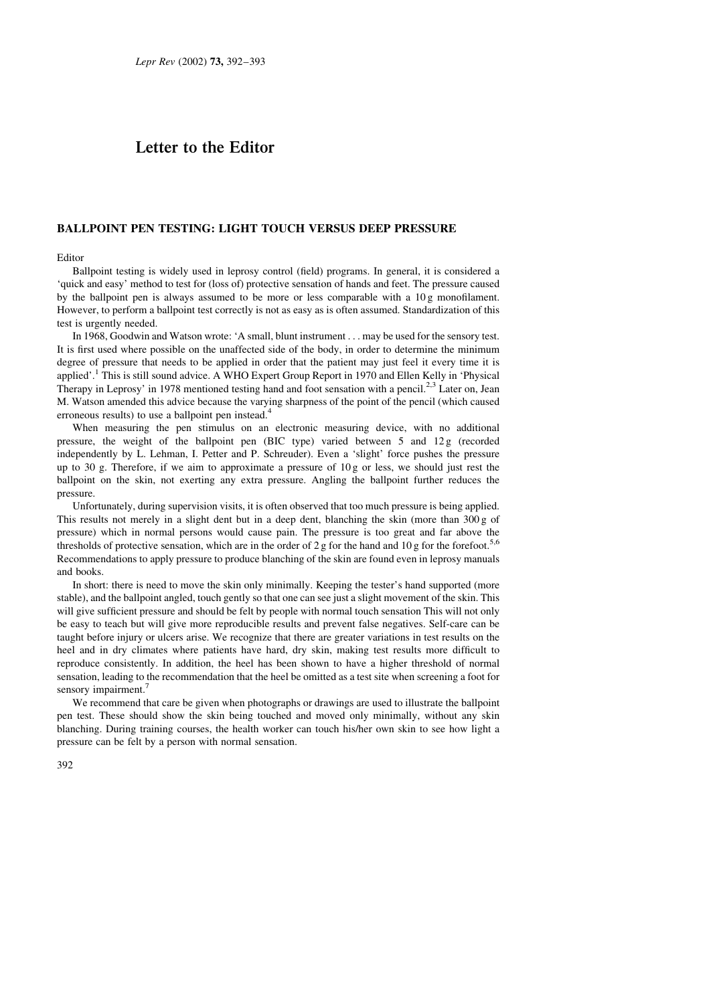## Letter to the Editor

## **BALLPOINT PEN TESTING: LIGHT TOUCH VERSUS DEEP PRESSURE**

## Editor

Ballpoint testing is widely used in leprosy control (field) programs. In general, it is considered a 'quick and easy' method to test for (loss of) protective sensation of hands and feet. The pressure caused by the ballpoint pen is always assumed to be more or less comparable with a 10g monofilament. However, to perform a ballpoint test correctly is not as easy as is often assumed. Standardization of this test is urgently needed.

In 1968, Goodwin and Watson wrote: 'A small, blunt instrument . . . may be used for the sensory test. It is first used where possible on the unaffected side of the body, in order to determine the minimum degree of pressure that needs to be applied in order that the patient may just feel it every time it is applied'.<sup>1</sup> This is still sound advice. A WHO Expert Group Report in 1970 and Ellen Kelly in 'Physical Therapy in Leprosy' in 1978 mentioned testing hand and foot sensation with a pencil.<sup>2,3</sup> Later on, Jean M. Watson amended this advice because the varying sharpness of the point of the pencil (which caused erroneous results) to use a ballpoint pen instead.

When measuring the pen stimulus on an electronic measuring device, with no additional pressure, the weight of the ballpoint pen (BIC type) varied between 5 and 12g (recorded independently by L. Lehman, I. Petter and P. Schreuder). Even a 'slight' force pushes the pressure up to 30 g. Therefore, if we aim to approximate a pressure of  $10g$  or less, we should just rest the ballpoint on the skin, not exerting any extra pressure. Angling the ballpoint further reduces the pressure.

Unfortunately, during supervision visits, it is often observed that too much pressure is being applied. This results not merely in a slight dent but in a deep dent, blanching the skin (more than 300 g of pressure) which in normal persons would cause pain. The pressure is too great and far above the thresholds of protective sensation, which are in the order of 2 g for the hand and 10 g for the forefoot.<sup>5,6</sup> Recommendations to apply pressure to produce blanching of the skin are found even in leprosy manuals and books.

In short: there is need to move the skin only minimally. Keeping the tester's hand supported (more stable), and the ballpoint angled, touch gently so that one can see just a slight movement of the skin. This will give sufficient pressure and should be felt by people with normal touch sensation This will not only be easy to teach but will give more reproducible results and prevent false negatives. Self-care can be taught before injury or ulcers arise. We recognize that there are greater variations in test results on the heel and in dry climates where patients have hard, dry skin, making test results more difficult to reproduce consistently. In addition, the heel has been shown to have a higher threshold of normal sensation, leading to the recommendation that the heel be omitted as a test site when screening a foot for sensory impairment.<sup>7</sup>

We recommend that care be given when photographs or drawings are used to illustrate the ballpoint pen test. These should show the skin being touched and moved only minimally, without any skin blanching. During training courses, the health worker can touch his/her own skin to see how light a pressure can be felt by a person with normal sensation.

 $392$